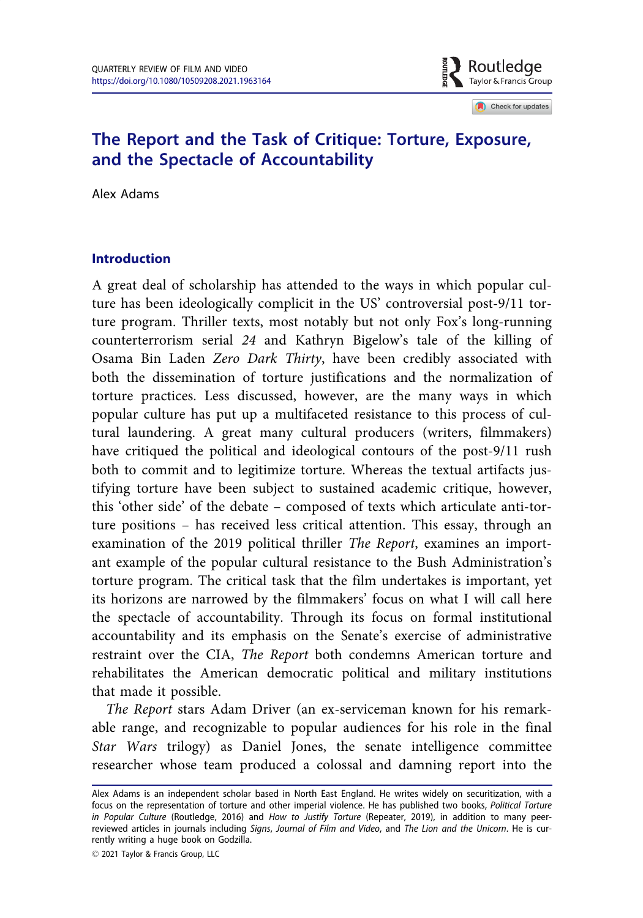

Check for updates

# The Report and the Task of Critique: Torture, Exposure, and the Spectacle of Accountability

Alex Adams

### Introduction

A great deal of scholarship has attended to the ways in which popular culture has been ideologically complicit in the US' controversial post-9/11 torture program. Thriller texts, most notably but not only Fox's long-running counterterrorism serial 24 and Kathryn Bigelow's tale of the killing of Osama Bin Laden Zero Dark Thirty, have been credibly associated with both the dissemination of torture justifications and the normalization of torture practices. Less discussed, however, are the many ways in which popular culture has put up a multifaceted resistance to this process of cultural laundering. A great many cultural producers (writers, filmmakers) have critiqued the political and ideological contours of the post-9/11 rush both to commit and to legitimize torture. Whereas the textual artifacts justifying torture have been subject to sustained academic critique, however, this 'other side' of the debate – composed of texts which articulate anti-torture positions – has received less critical attention. This essay, through an examination of the 2019 political thriller The Report, examines an important example of the popular cultural resistance to the Bush Administration's torture program. The critical task that the film undertakes is important, yet its horizons are narrowed by the filmmakers' focus on what I will call here the spectacle of accountability. Through its focus on formal institutional accountability and its emphasis on the Senate's exercise of administrative restraint over the CIA, The Report both condemns American torture and rehabilitates the American democratic political and military institutions that made it possible.

The Report stars Adam Driver (an ex-serviceman known for his remarkable range, and recognizable to popular audiences for his role in the final Star Wars trilogy) as Daniel Jones, the senate intelligence committee researcher whose team produced a colossal and damning report into the

2021 Taylor & Francis Group, LLC

Alex Adams is an independent scholar based in North East England. He writes widely on securitization, with a focus on the representation of torture and other imperial violence. He has published two books, Political Torture in Popular Culture (Routledge, 2016) and How to Justify Torture (Repeater, 2019), in addition to many peerreviewed articles in journals including Signs, Journal of Film and Video, and The Lion and the Unicorn. He is currently writing a huge book on Godzilla.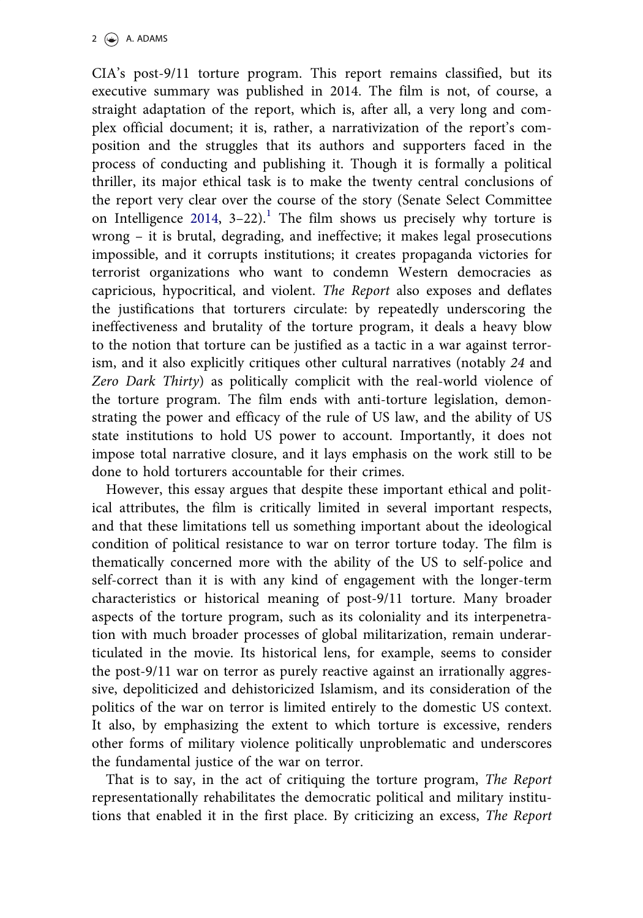<span id="page-1-0"></span>CIA's post-9/11 torture program. This report remains classified, but its executive summary was published in 2014. The film is not, of course, a straight adaptation of the report, which is, after all, a very long and complex official document; it is, rather, a narrativization of the report's composition and the struggles that its authors and supporters faced in the process of conducting and publishing it. Though it is formally a political thriller, its major ethical task is to make the twenty central conclusions of the report very clear over the course of the story (Senate Select Committee on Intelligence [2014](#page-13-0),  $3-22$ ).<sup>[1](#page-12-0)</sup> The film shows us precisely why torture is wrong – it is brutal, degrading, and ineffective; it makes legal prosecutions impossible, and it corrupts institutions; it creates propaganda victories for terrorist organizations who want to condemn Western democracies as capricious, hypocritical, and violent. The Report also exposes and deflates the justifications that torturers circulate: by repeatedly underscoring the ineffectiveness and brutality of the torture program, it deals a heavy blow to the notion that torture can be justified as a tactic in a war against terrorism, and it also explicitly critiques other cultural narratives (notably 24 and Zero Dark Thirty) as politically complicit with the real-world violence of the torture program. The film ends with anti-torture legislation, demonstrating the power and efficacy of the rule of US law, and the ability of US state institutions to hold US power to account. Importantly, it does not impose total narrative closure, and it lays emphasis on the work still to be done to hold torturers accountable for their crimes.

However, this essay argues that despite these important ethical and political attributes, the film is critically limited in several important respects, and that these limitations tell us something important about the ideological condition of political resistance to war on terror torture today. The film is thematically concerned more with the ability of the US to self-police and self-correct than it is with any kind of engagement with the longer-term characteristics or historical meaning of post-9/11 torture. Many broader aspects of the torture program, such as its coloniality and its interpenetration with much broader processes of global militarization, remain underarticulated in the movie. Its historical lens, for example, seems to consider the post-9/11 war on terror as purely reactive against an irrationally aggressive, depoliticized and dehistoricized Islamism, and its consideration of the politics of the war on terror is limited entirely to the domestic US context. It also, by emphasizing the extent to which torture is excessive, renders other forms of military violence politically unproblematic and underscores the fundamental justice of the war on terror.

That is to say, in the act of critiquing the torture program, The Report representationally rehabilitates the democratic political and military institutions that enabled it in the first place. By criticizing an excess, The Report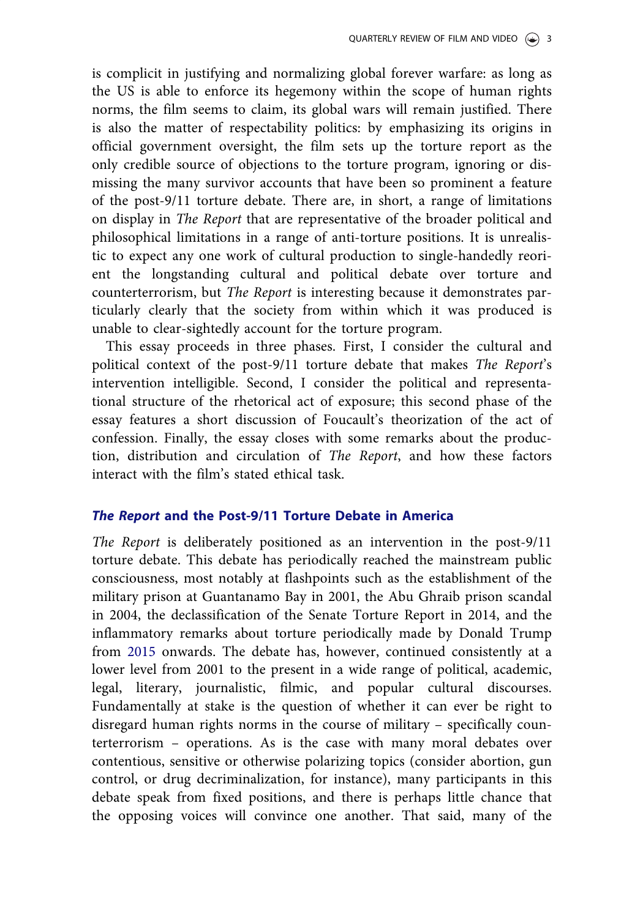<span id="page-2-0"></span>is complicit in justifying and normalizing global forever warfare: as long as the US is able to enforce its hegemony within the scope of human rights norms, the film seems to claim, its global wars will remain justified. There is also the matter of respectability politics: by emphasizing its origins in official government oversight, the film sets up the torture report as the only credible source of objections to the torture program, ignoring or dismissing the many survivor accounts that have been so prominent a feature of the post-9/11 torture debate. There are, in short, a range of limitations on display in The Report that are representative of the broader political and philosophical limitations in a range of anti-torture positions. It is unrealistic to expect any one work of cultural production to single-handedly reorient the longstanding cultural and political debate over torture and counterterrorism, but The Report is interesting because it demonstrates particularly clearly that the society from within which it was produced is unable to clear-sightedly account for the torture program.

This essay proceeds in three phases. First, I consider the cultural and political context of the post-9/11 torture debate that makes The Report's intervention intelligible. Second, I consider the political and representational structure of the rhetorical act of exposure; this second phase of the essay features a short discussion of Foucault's theorization of the act of confession. Finally, the essay closes with some remarks about the production, distribution and circulation of The Report, and how these factors interact with the film's stated ethical task.

### The Report and the Post-9/11 Torture Debate in America

The Report is deliberately positioned as an intervention in the post-9/11 torture debate. This debate has periodically reached the mainstream public consciousness, most notably at flashpoints such as the establishment of the military prison at Guantanamo Bay in 2001, the Abu Ghraib prison scandal in 2004, the declassification of the Senate Torture Report in 2014, and the inflammatory remarks about torture periodically made by Donald Trump from [2015](#page-14-0) onwards. The debate has, however, continued consistently at a lower level from 2001 to the present in a wide range of political, academic, legal, literary, journalistic, filmic, and popular cultural discourses. Fundamentally at stake is the question of whether it can ever be right to disregard human rights norms in the course of military – specifically counterterrorism – operations. As is the case with many moral debates over contentious, sensitive or otherwise polarizing topics (consider abortion, gun control, or drug decriminalization, for instance), many participants in this debate speak from fixed positions, and there is perhaps little chance that the opposing voices will convince one another. That said, many of the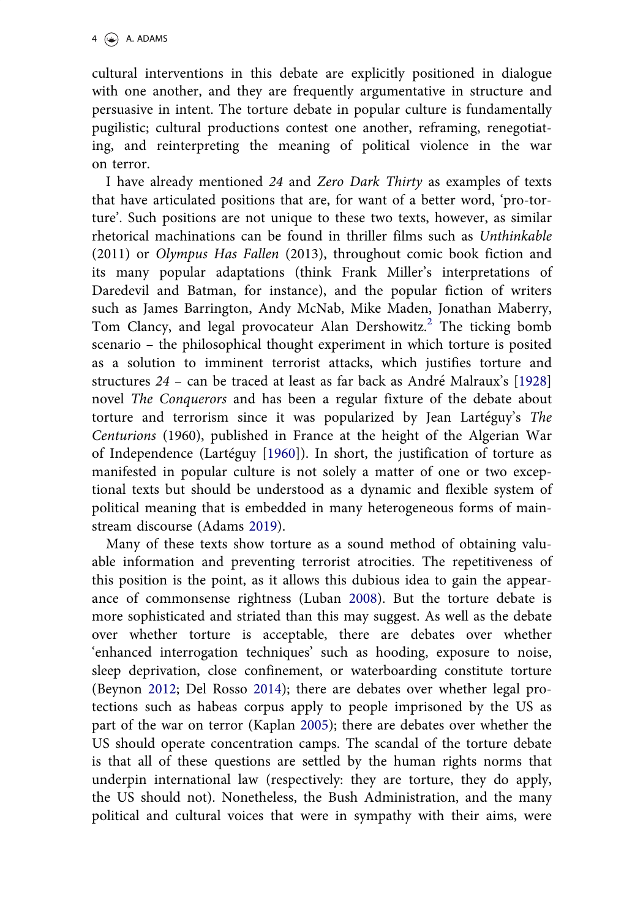<span id="page-3-0"></span>cultural interventions in this debate are explicitly positioned in dialogue with one another, and they are frequently argumentative in structure and persuasive in intent. The torture debate in popular culture is fundamentally pugilistic; cultural productions contest one another, reframing, renegotiating, and reinterpreting the meaning of political violence in the war on terror.

I have already mentioned 24 and Zero Dark Thirty as examples of texts that have articulated positions that are, for want of a better word, 'pro-torture'. Such positions are not unique to these two texts, however, as similar rhetorical machinations can be found in thriller films such as Unthinkable (2011) or Olympus Has Fallen (2013), throughout comic book fiction and its many popular adaptations (think Frank Miller's interpretations of Daredevil and Batman, for instance), and the popular fiction of writers such as James Barrington, Andy McNab, Mike Maden, Jonathan Maberry, Tom Clancy, and legal provocateur Alan Dershowitz.<sup>[2](#page-12-0)</sup> The ticking bomb scenario – the philosophical thought experiment in which torture is posited as a solution to imminent terrorist attacks, which justifies torture and structures 24 – can be traced at least as far back as Andre Malraux's [\[1928\]](#page-13-0) novel The Conquerors and has been a regular fixture of the debate about torture and terrorism since it was popularized by Jean Lartéguy's The Centurions (1960), published in France at the height of the Algerian War of Independence (Lartéguy [\[1960\]](#page-13-0)). In short, the justification of torture as manifested in popular culture is not solely a matter of one or two exceptional texts but should be understood as a dynamic and flexible system of political meaning that is embedded in many heterogeneous forms of mainstream discourse (Adams [2019](#page-12-0)).

Many of these texts show torture as a sound method of obtaining valuable information and preventing terrorist atrocities. The repetitiveness of this position is the point, as it allows this dubious idea to gain the appearance of commonsense rightness (Luban [2008\)](#page-13-0). But the torture debate is more sophisticated and striated than this may suggest. As well as the debate over whether torture is acceptable, there are debates over whether 'enhanced interrogation techniques' such as hooding, exposure to noise, sleep deprivation, close confinement, or waterboarding constitute torture (Beynon [2012](#page-12-0); Del Rosso [2014\)](#page-12-0); there are debates over whether legal protections such as habeas corpus apply to people imprisoned by the US as part of the war on terror (Kaplan [2005\)](#page-13-0); there are debates over whether the US should operate concentration camps. The scandal of the torture debate is that all of these questions are settled by the human rights norms that underpin international law (respectively: they are torture, they do apply, the US should not). Nonetheless, the Bush Administration, and the many political and cultural voices that were in sympathy with their aims, were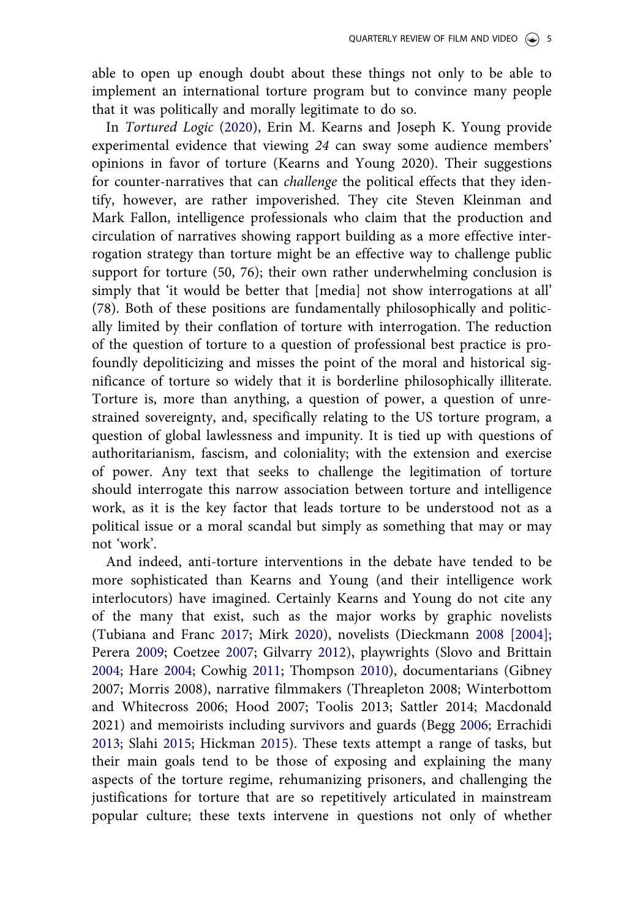<span id="page-4-0"></span>able to open up enough doubt about these things not only to be able to implement an international torture program but to convince many people that it was politically and morally legitimate to do so.

In Tortured Logic ([2020](#page-13-0)), Erin M. Kearns and Joseph K. Young provide experimental evidence that viewing 24 can sway some audience members' opinions in favor of torture (Kearns and Young 2020). Their suggestions for counter-narratives that can challenge the political effects that they identify, however, are rather impoverished. They cite Steven Kleinman and Mark Fallon, intelligence professionals who claim that the production and circulation of narratives showing rapport building as a more effective interrogation strategy than torture might be an effective way to challenge public support for torture (50, 76); their own rather underwhelming conclusion is simply that 'it would be better that [media] not show interrogations at all' (78). Both of these positions are fundamentally philosophically and politically limited by their conflation of torture with interrogation. The reduction of the question of torture to a question of professional best practice is profoundly depoliticizing and misses the point of the moral and historical significance of torture so widely that it is borderline philosophically illiterate. Torture is, more than anything, a question of power, a question of unrestrained sovereignty, and, specifically relating to the US torture program, a question of global lawlessness and impunity. It is tied up with questions of authoritarianism, fascism, and coloniality; with the extension and exercise of power. Any text that seeks to challenge the legitimation of torture should interrogate this narrow association between torture and intelligence work, as it is the key factor that leads torture to be understood not as a political issue or a moral scandal but simply as something that may or may not 'work'.

And indeed, anti-torture interventions in the debate have tended to be more sophisticated than Kearns and Young (and their intelligence work interlocutors) have imagined. Certainly Kearns and Young do not cite any of the many that exist, such as the major works by graphic novelists (Tubiana and Franc [2017](#page-14-0); Mirk [2020](#page-13-0)), novelists (Dieckmann [2008 \[2004\];](#page-13-0) Perera [2009;](#page-13-0) Coetzee [2007;](#page-12-0) Gilvarry [2012](#page-13-0)), playwrights (Slovo and Brittain [2004](#page-14-0); Hare [2004;](#page-13-0) Cowhig [2011](#page-12-0); Thompson [2010\)](#page-14-0), documentarians (Gibney 2007; Morris 2008), narrative filmmakers (Threapleton 2008; Winterbottom and Whitecross 2006; Hood 2007; Toolis 2013; Sattler 2014; Macdonald 2021) and memoirists including survivors and guards (Begg [2006;](#page-12-0) Errachidi [2013](#page-13-0); Slahi [2015;](#page-14-0) Hickman [2015](#page-13-0)). These texts attempt a range of tasks, but their main goals tend to be those of exposing and explaining the many aspects of the torture regime, rehumanizing prisoners, and challenging the justifications for torture that are so repetitively articulated in mainstream popular culture; these texts intervene in questions not only of whether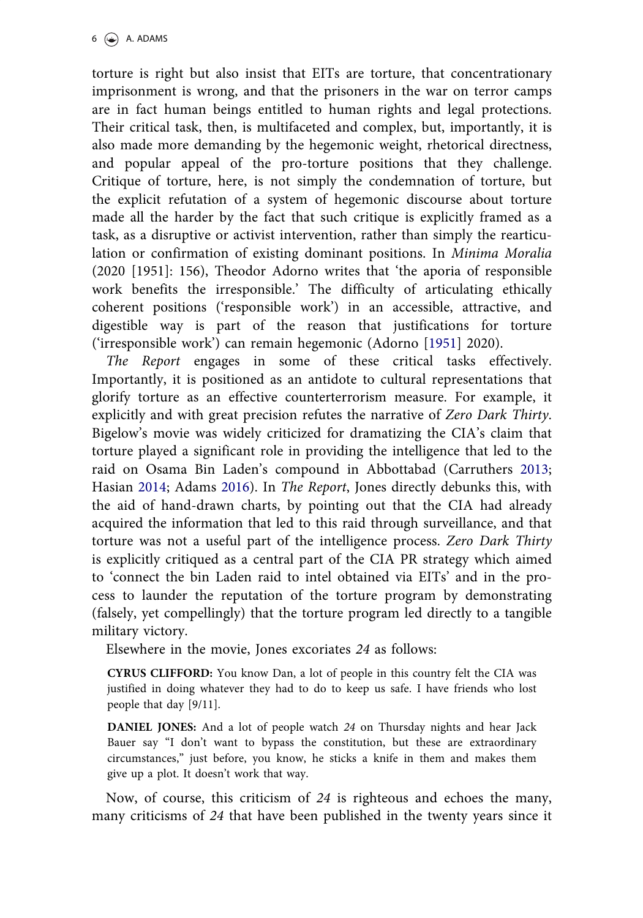<span id="page-5-0"></span>torture is right but also insist that EITs are torture, that concentrationary imprisonment is wrong, and that the prisoners in the war on terror camps are in fact human beings entitled to human rights and legal protections. Their critical task, then, is multifaceted and complex, but, importantly, it is also made more demanding by the hegemonic weight, rhetorical directness, and popular appeal of the pro-torture positions that they challenge. Critique of torture, here, is not simply the condemnation of torture, but the explicit refutation of a system of hegemonic discourse about torture made all the harder by the fact that such critique is explicitly framed as a task, as a disruptive or activist intervention, rather than simply the rearticulation or confirmation of existing dominant positions. In Minima Moralia (2020 [1951]: 156), Theodor Adorno writes that 'the aporia of responsible work benefits the irresponsible.' The difficulty of articulating ethically coherent positions ('responsible work') in an accessible, attractive, and digestible way is part of the reason that justifications for torture ('irresponsible work') can remain hegemonic (Adorno [[1951](#page-12-0)] 2020).

The Report engages in some of these critical tasks effectively. Importantly, it is positioned as an antidote to cultural representations that glorify torture as an effective counterterrorism measure. For example, it explicitly and with great precision refutes the narrative of Zero Dark Thirty. Bigelow's movie was widely criticized for dramatizing the CIA's claim that torture played a significant role in providing the intelligence that led to the raid on Osama Bin Laden's compound in Abbottabad (Carruthers [2013;](#page-12-0) Hasian [2014](#page-13-0); Adams [2016\)](#page-12-0). In The Report, Jones directly debunks this, with the aid of hand-drawn charts, by pointing out that the CIA had already acquired the information that led to this raid through surveillance, and that torture was not a useful part of the intelligence process. Zero Dark Thirty is explicitly critiqued as a central part of the CIA PR strategy which aimed to 'connect the bin Laden raid to intel obtained via EITs' and in the process to launder the reputation of the torture program by demonstrating (falsely, yet compellingly) that the torture program led directly to a tangible military victory.

Elsewhere in the movie, Jones excoriates 24 as follows:

CYRUS CLIFFORD: You know Dan, a lot of people in this country felt the CIA was justified in doing whatever they had to do to keep us safe. I have friends who lost people that day [9/11].

DANIEL JONES: And a lot of people watch 24 on Thursday nights and hear Jack Bauer say "I don't want to bypass the constitution, but these are extraordinary circumstances," just before, you know, he sticks a knife in them and makes them give up a plot. It doesn't work that way.

Now, of course, this criticism of 24 is righteous and echoes the many, many criticisms of 24 that have been published in the twenty years since it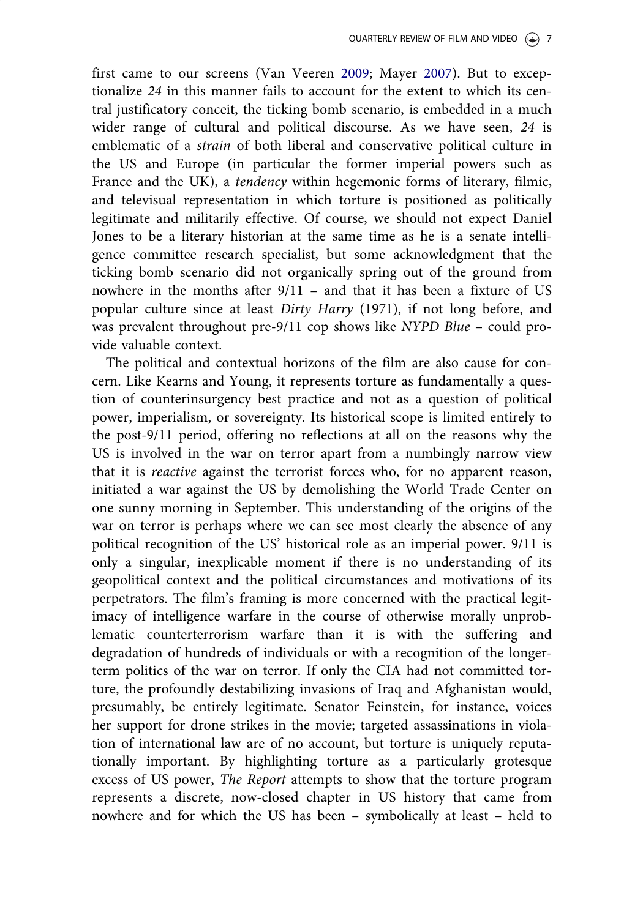<span id="page-6-0"></span>first came to our screens (Van Veeren [2009](#page-14-0); Mayer [2007](#page-13-0)). But to exceptionalize 24 in this manner fails to account for the extent to which its central justificatory conceit, the ticking bomb scenario, is embedded in a much wider range of cultural and political discourse. As we have seen, 24 is emblematic of a strain of both liberal and conservative political culture in the US and Europe (in particular the former imperial powers such as France and the UK), a tendency within hegemonic forms of literary, filmic, and televisual representation in which torture is positioned as politically legitimate and militarily effective. Of course, we should not expect Daniel Jones to be a literary historian at the same time as he is a senate intelligence committee research specialist, but some acknowledgment that the ticking bomb scenario did not organically spring out of the ground from nowhere in the months after 9/11 – and that it has been a fixture of US popular culture since at least Dirty Harry (1971), if not long before, and was prevalent throughout pre-9/11 cop shows like NYPD Blue – could provide valuable context.

The political and contextual horizons of the film are also cause for concern. Like Kearns and Young, it represents torture as fundamentally a question of counterinsurgency best practice and not as a question of political power, imperialism, or sovereignty. Its historical scope is limited entirely to the post-9/11 period, offering no reflections at all on the reasons why the US is involved in the war on terror apart from a numbingly narrow view that it is reactive against the terrorist forces who, for no apparent reason, initiated a war against the US by demolishing the World Trade Center on one sunny morning in September. This understanding of the origins of the war on terror is perhaps where we can see most clearly the absence of any political recognition of the US' historical role as an imperial power. 9/11 is only a singular, inexplicable moment if there is no understanding of its geopolitical context and the political circumstances and motivations of its perpetrators. The film's framing is more concerned with the practical legitimacy of intelligence warfare in the course of otherwise morally unproblematic counterterrorism warfare than it is with the suffering and degradation of hundreds of individuals or with a recognition of the longerterm politics of the war on terror. If only the CIA had not committed torture, the profoundly destabilizing invasions of Iraq and Afghanistan would, presumably, be entirely legitimate. Senator Feinstein, for instance, voices her support for drone strikes in the movie; targeted assassinations in violation of international law are of no account, but torture is uniquely reputationally important. By highlighting torture as a particularly grotesque excess of US power, The Report attempts to show that the torture program represents a discrete, now-closed chapter in US history that came from nowhere and for which the US has been – symbolically at least – held to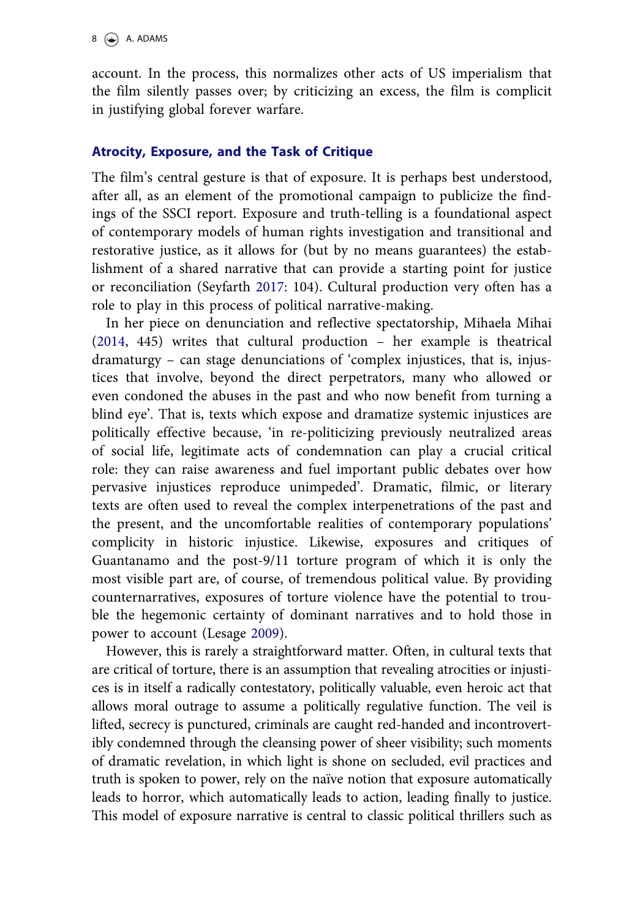<span id="page-7-0"></span>account. In the process, this normalizes other acts of US imperialism that the film silently passes over; by criticizing an excess, the film is complicit in justifying global forever warfare.

### Atrocity, Exposure, and the Task of Critique

The film's central gesture is that of exposure. It is perhaps best understood, after all, as an element of the promotional campaign to publicize the findings of the SSCI report. Exposure and truth-telling is a foundational aspect of contemporary models of human rights investigation and transitional and restorative justice, as it allows for (but by no means guarantees) the establishment of a shared narrative that can provide a starting point for justice or reconciliation (Seyfarth [2017:](#page-13-0) 104). Cultural production very often has a role to play in this process of political narrative-making.

In her piece on denunciation and reflective spectatorship, Mihaela Mihai ([2014](#page-13-0), 445) writes that cultural production – her example is theatrical dramaturgy – can stage denunciations of 'complex injustices, that is, injustices that involve, beyond the direct perpetrators, many who allowed or even condoned the abuses in the past and who now benefit from turning a blind eye'. That is, texts which expose and dramatize systemic injustices are politically effective because, 'in re-politicizing previously neutralized areas of social life, legitimate acts of condemnation can play a crucial critical role: they can raise awareness and fuel important public debates over how pervasive injustices reproduce unimpeded'. Dramatic, filmic, or literary texts are often used to reveal the complex interpenetrations of the past and the present, and the uncomfortable realities of contemporary populations' complicity in historic injustice. Likewise, exposures and critiques of Guantanamo and the post-9/11 torture program of which it is only the most visible part are, of course, of tremendous political value. By providing counternarratives, exposures of torture violence have the potential to trouble the hegemonic certainty of dominant narratives and to hold those in power to account (Lesage [2009\)](#page-13-0).

However, this is rarely a straightforward matter. Often, in cultural texts that are critical of torture, there is an assumption that revealing atrocities or injustices is in itself a radically contestatory, politically valuable, even heroic act that allows moral outrage to assume a politically regulative function. The veil is lifted, secrecy is punctured, criminals are caught red-handed and incontrovertibly condemned through the cleansing power of sheer visibility; such moments of dramatic revelation, in which light is shone on secluded, evil practices and truth is spoken to power, rely on the naïve notion that exposure automatically leads to horror, which automatically leads to action, leading finally to justice. This model of exposure narrative is central to classic political thrillers such as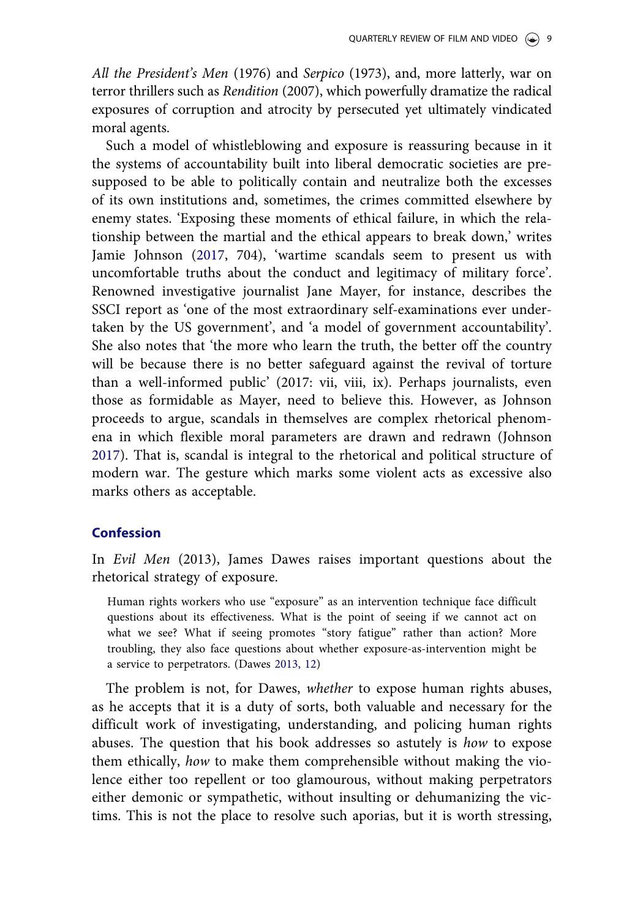<span id="page-8-0"></span>All the President's Men (1976) and Serpico (1973), and, more latterly, war on terror thrillers such as Rendition (2007), which powerfully dramatize the radical exposures of corruption and atrocity by persecuted yet ultimately vindicated moral agents.

Such a model of whistleblowing and exposure is reassuring because in it the systems of accountability built into liberal democratic societies are presupposed to be able to politically contain and neutralize both the excesses of its own institutions and, sometimes, the crimes committed elsewhere by enemy states. 'Exposing these moments of ethical failure, in which the relationship between the martial and the ethical appears to break down,' writes Jamie Johnson [\(2017](#page-13-0), 704), 'wartime scandals seem to present us with uncomfortable truths about the conduct and legitimacy of military force'. Renowned investigative journalist Jane Mayer, for instance, describes the SSCI report as 'one of the most extraordinary self-examinations ever undertaken by the US government', and 'a model of government accountability'. She also notes that 'the more who learn the truth, the better off the country will be because there is no better safeguard against the revival of torture than a well-informed public' (2017: vii, viii, ix). Perhaps journalists, even those as formidable as Mayer, need to believe this. However, as Johnson proceeds to argue, scandals in themselves are complex rhetorical phenomena in which flexible moral parameters are drawn and redrawn (Johnson [2017](#page-13-0)). That is, scandal is integral to the rhetorical and political structure of modern war. The gesture which marks some violent acts as excessive also marks others as acceptable.

### Confession

In Evil Men (2013), James Dawes raises important questions about the rhetorical strategy of exposure.

Human rights workers who use "exposure" as an intervention technique face difficult questions about its effectiveness. What is the point of seeing if we cannot act on what we see? What if seeing promotes "story fatigue" rather than action? More troubling, they also face questions about whether exposure-as-intervention might be a service to perpetrators. (Dawes [2013, 12](#page-12-0))

The problem is not, for Dawes, whether to expose human rights abuses, as he accepts that it is a duty of sorts, both valuable and necessary for the difficult work of investigating, understanding, and policing human rights abuses. The question that his book addresses so astutely is how to expose them ethically, how to make them comprehensible without making the violence either too repellent or too glamourous, without making perpetrators either demonic or sympathetic, without insulting or dehumanizing the victims. This is not the place to resolve such aporias, but it is worth stressing,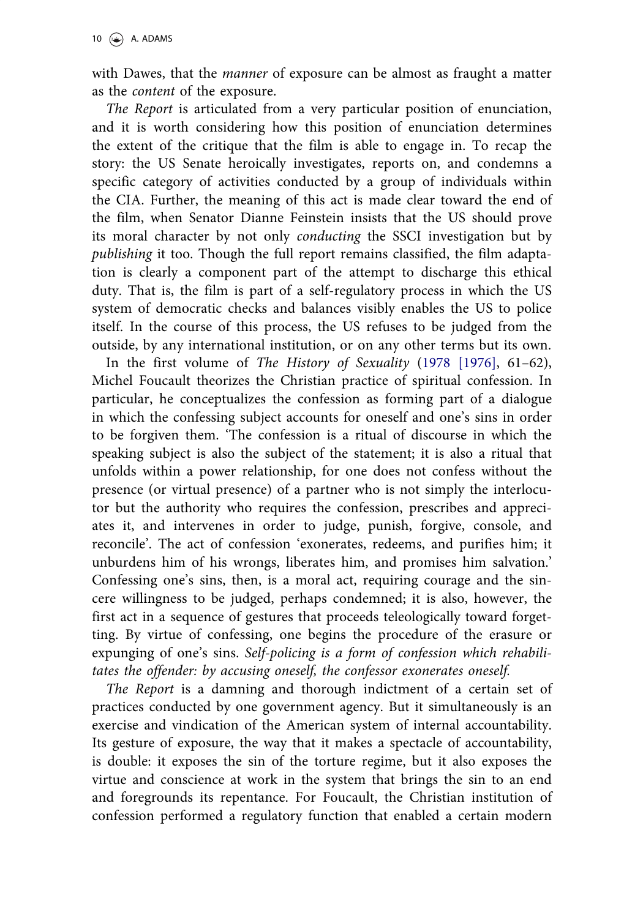<span id="page-9-0"></span>with Dawes, that the *manner* of exposure can be almost as fraught a matter as the content of the exposure.

The Report is articulated from a very particular position of enunciation, and it is worth considering how this position of enunciation determines the extent of the critique that the film is able to engage in. To recap the story: the US Senate heroically investigates, reports on, and condemns a specific category of activities conducted by a group of individuals within the CIA. Further, the meaning of this act is made clear toward the end of the film, when Senator Dianne Feinstein insists that the US should prove its moral character by not only conducting the SSCI investigation but by publishing it too. Though the full report remains classified, the film adaptation is clearly a component part of the attempt to discharge this ethical duty. That is, the film is part of a self-regulatory process in which the US system of democratic checks and balances visibly enables the US to police itself. In the course of this process, the US refuses to be judged from the outside, by any international institution, or on any other terms but its own.

In the first volume of The History of Sexuality ([1978 \[1976\]](#page-13-0), 61–62), Michel Foucault theorizes the Christian practice of spiritual confession. In particular, he conceptualizes the confession as forming part of a dialogue in which the confessing subject accounts for oneself and one's sins in order to be forgiven them. 'The confession is a ritual of discourse in which the speaking subject is also the subject of the statement; it is also a ritual that unfolds within a power relationship, for one does not confess without the presence (or virtual presence) of a partner who is not simply the interlocutor but the authority who requires the confession, prescribes and appreciates it, and intervenes in order to judge, punish, forgive, console, and reconcile'. The act of confession 'exonerates, redeems, and purifies him; it unburdens him of his wrongs, liberates him, and promises him salvation.' Confessing one's sins, then, is a moral act, requiring courage and the sincere willingness to be judged, perhaps condemned; it is also, however, the first act in a sequence of gestures that proceeds teleologically toward forgetting. By virtue of confessing, one begins the procedure of the erasure or expunging of one's sins. Self-policing is a form of confession which rehabilitates the offender: by accusing oneself, the confessor exonerates oneself.

The Report is a damning and thorough indictment of a certain set of practices conducted by one government agency. But it simultaneously is an exercise and vindication of the American system of internal accountability. Its gesture of exposure, the way that it makes a spectacle of accountability, is double: it exposes the sin of the torture regime, but it also exposes the virtue and conscience at work in the system that brings the sin to an end and foregrounds its repentance. For Foucault, the Christian institution of confession performed a regulatory function that enabled a certain modern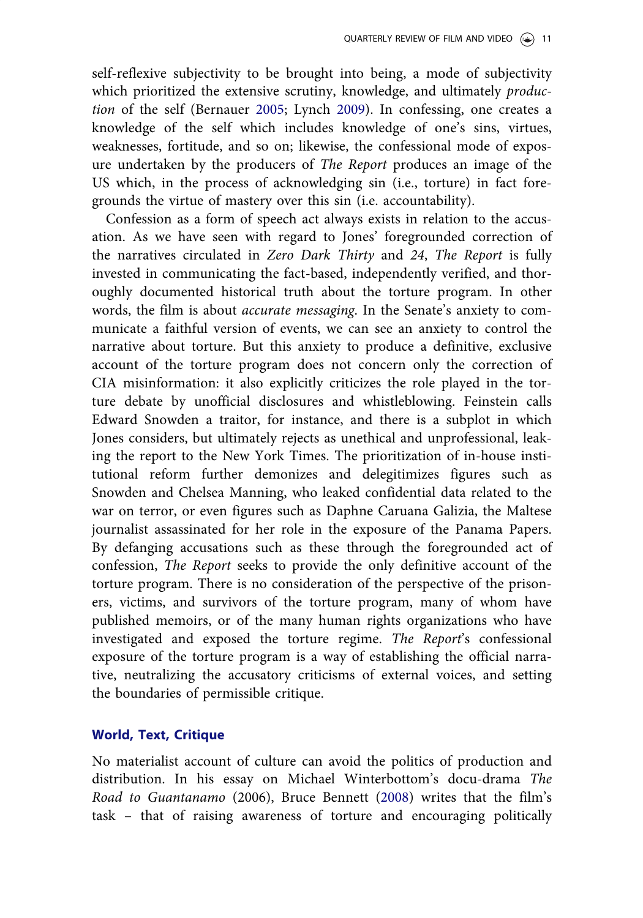<span id="page-10-0"></span>self-reflexive subjectivity to be brought into being, a mode of subjectivity which prioritized the extensive scrutiny, knowledge, and ultimately *produc*tion of the self (Bernauer [2005;](#page-12-0) Lynch [2009](#page-13-0)). In confessing, one creates a knowledge of the self which includes knowledge of one's sins, virtues, weaknesses, fortitude, and so on; likewise, the confessional mode of exposure undertaken by the producers of The Report produces an image of the US which, in the process of acknowledging sin (i.e., torture) in fact foregrounds the virtue of mastery over this sin (i.e. accountability).

Confession as a form of speech act always exists in relation to the accusation. As we have seen with regard to Jones' foregrounded correction of the narratives circulated in Zero Dark Thirty and 24, The Report is fully invested in communicating the fact-based, independently verified, and thoroughly documented historical truth about the torture program. In other words, the film is about accurate messaging. In the Senate's anxiety to communicate a faithful version of events, we can see an anxiety to control the narrative about torture. But this anxiety to produce a definitive, exclusive account of the torture program does not concern only the correction of CIA misinformation: it also explicitly criticizes the role played in the torture debate by unofficial disclosures and whistleblowing. Feinstein calls Edward Snowden a traitor, for instance, and there is a subplot in which Jones considers, but ultimately rejects as unethical and unprofessional, leaking the report to the New York Times. The prioritization of in-house institutional reform further demonizes and delegitimizes figures such as Snowden and Chelsea Manning, who leaked confidential data related to the war on terror, or even figures such as Daphne Caruana Galizia, the Maltese journalist assassinated for her role in the exposure of the Panama Papers. By defanging accusations such as these through the foregrounded act of confession, The Report seeks to provide the only definitive account of the torture program. There is no consideration of the perspective of the prisoners, victims, and survivors of the torture program, many of whom have published memoirs, or of the many human rights organizations who have investigated and exposed the torture regime. The Report's confessional exposure of the torture program is a way of establishing the official narrative, neutralizing the accusatory criticisms of external voices, and setting the boundaries of permissible critique.

### World, Text, Critique

No materialist account of culture can avoid the politics of production and distribution. In his essay on Michael Winterbottom's docu-drama The Road to Guantanamo (2006), Bruce Bennett [\(2008](#page-12-0)) writes that the film's task – that of raising awareness of torture and encouraging politically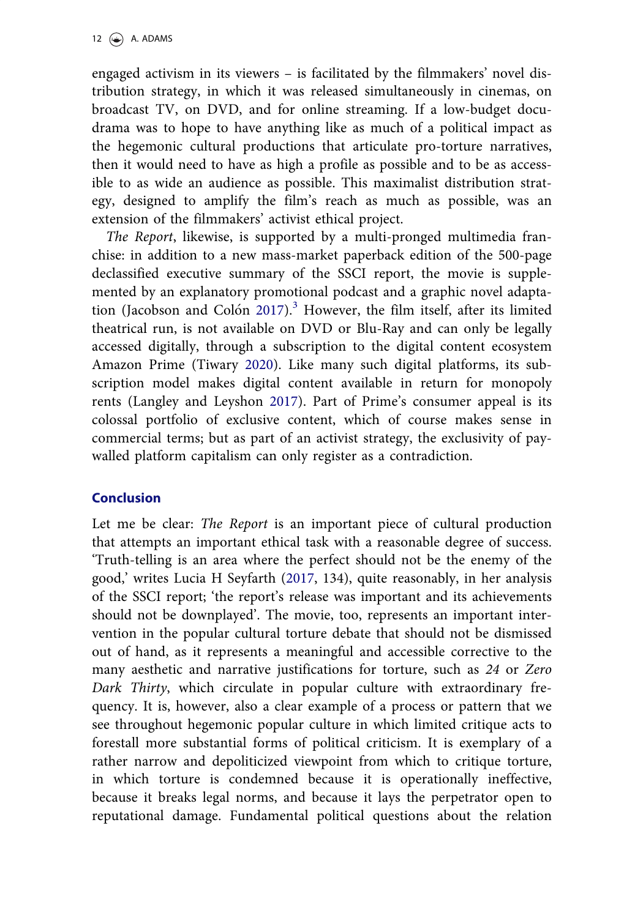<span id="page-11-0"></span>engaged activism in its viewers – is facilitated by the filmmakers' novel distribution strategy, in which it was released simultaneously in cinemas, on broadcast TV, on DVD, and for online streaming. If a low-budget docudrama was to hope to have anything like as much of a political impact as the hegemonic cultural productions that articulate pro-torture narratives, then it would need to have as high a profile as possible and to be as accessible to as wide an audience as possible. This maximalist distribution strategy, designed to amplify the film's reach as much as possible, was an extension of the filmmakers' activist ethical project.

The Report, likewise, is supported by a multi-pronged multimedia franchise: in addition to a new mass-market paperback edition of the 500-page declassified executive summary of the SSCI report, the movie is supplemented by an explanatory promotional podcast and a graphic novel adapta-tion (Jacobson and Colón [2017\)](#page-13-0).<sup>[3](#page-12-0)</sup> However, the film itself, after its limited theatrical run, is not available on DVD or Blu-Ray and can only be legally accessed digitally, through a subscription to the digital content ecosystem Amazon Prime (Tiwary [2020](#page-14-0)). Like many such digital platforms, its subscription model makes digital content available in return for monopoly rents (Langley and Leyshon [2017\)](#page-13-0). Part of Prime's consumer appeal is its colossal portfolio of exclusive content, which of course makes sense in commercial terms; but as part of an activist strategy, the exclusivity of paywalled platform capitalism can only register as a contradiction.

## **Conclusion**

Let me be clear: The Report is an important piece of cultural production that attempts an important ethical task with a reasonable degree of success. 'Truth-telling is an area where the perfect should not be the enemy of the good,' writes Lucia H Seyfarth [\(2017](#page-13-0), 134), quite reasonably, in her analysis of the SSCI report; 'the report's release was important and its achievements should not be downplayed'. The movie, too, represents an important intervention in the popular cultural torture debate that should not be dismissed out of hand, as it represents a meaningful and accessible corrective to the many aesthetic and narrative justifications for torture, such as 24 or Zero Dark Thirty, which circulate in popular culture with extraordinary frequency. It is, however, also a clear example of a process or pattern that we see throughout hegemonic popular culture in which limited critique acts to forestall more substantial forms of political criticism. It is exemplary of a rather narrow and depoliticized viewpoint from which to critique torture, in which torture is condemned because it is operationally ineffective, because it breaks legal norms, and because it lays the perpetrator open to reputational damage. Fundamental political questions about the relation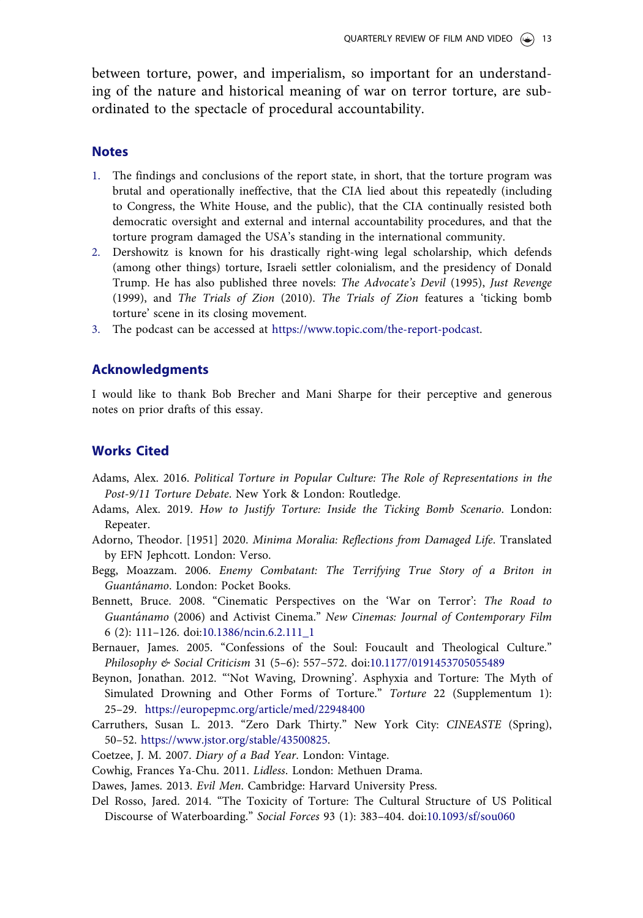<span id="page-12-0"></span>between torture, power, and imperialism, so important for an understanding of the nature and historical meaning of war on terror torture, are subordinated to the spectacle of procedural accountability.

#### Notes

- [1.](#page-1-0) The findings and conclusions of the report state, in short, that the torture program was brutal and operationally ineffective, that the CIA lied about this repeatedly (including to Congress, the White House, and the public), that the CIA continually resisted both democratic oversight and external and internal accountability procedures, and that the torture program damaged the USA's standing in the international community.
- [2.](#page-3-0) Dershowitz is known for his drastically right-wing legal scholarship, which defends (among other things) torture, Israeli settler colonialism, and the presidency of Donald Trump. He has also published three novels: The Advocate's Devil (1995), Just Revenge (1999), and The Trials of Zion (2010). The Trials of Zion features a 'ticking bomb torture' scene in its closing movement.
- [3.](#page-11-0) The podcast can be accessed at [https://www.topic.com/the-report-podcast.](https://www.topic.com/the-report-podcast)

### Acknowledgments

I would like to thank Bob Brecher and Mani Sharpe for their perceptive and generous notes on prior drafts of this essay.

#### Works Cited

- Adams, Alex. [2016](#page-5-0). Political Torture in Popular Culture: The Role of Representations in the Post-9/11 Torture Debate. New York & London: Routledge.
- Adams, Alex. [2019](#page-3-0). How to Justify Torture: Inside the Ticking Bomb Scenario. London: Repeater.
- Adorno, Theodor. [\[1951\]](#page-5-0) 2020. Minima Moralia: Reflections from Damaged Life. Translated by EFN Jephcott. London: Verso.
- Begg, Moazzam. [2006](#page-4-0). Enemy Combatant: The Terrifying True Story of a Briton in Guantanamo. London: Pocket Books.
- Bennett, Bruce. [2008.](#page-10-0) "Cinematic Perspectives on the 'War on Terror': The Road to Guantanamo (2006) and Activist Cinema." New Cinemas: Journal of Contemporary Film 6 (2): 111–126. doi[:10.1386/ncin.6.2.111\\_1](https://doi.org/10.1386/ncin.6.2.111_1)
- Bernauer, James. [2005.](#page-10-0) "Confessions of the Soul: Foucault and Theological Culture." Philosophy & Social Criticism 31 (5–6): 557–572. doi:[10.1177/0191453705055489](https://doi.org/10.1177/0191453705055489)
- Beynon, Jonathan. [2012.](#page-3-0) "'Not Waving, Drowning'. Asphyxia and Torture: The Myth of Simulated Drowning and Other Forms of Torture." Torture 22 (Supplementum 1): 25–29. <https://europepmc.org/article/med/22948400>
- Carruthers, Susan L. [2013.](#page-5-0) "Zero Dark Thirty." New York City: CINEASTE (Spring), 50–52. [https://www.jstor.org/stable/43500825.](https://www.jstor.org/stable/43500825)

Coetzee, J. M. [2007](#page-4-0). Diary of a Bad Year. London: Vintage.

Cowhig, Frances Ya-Chu. [2011](#page-4-0). Lidless. London: Methuen Drama.

Dawes, James. [2013.](#page-8-0) Evil Men. Cambridge: Harvard University Press.

Del Rosso, Jared. [2014.](#page-3-0) "The Toxicity of Torture: The Cultural Structure of US Political Discourse of Waterboarding." Social Forces 93 (1): 383–404. doi:[10.1093/sf/sou060](https://doi.org/10.1093/sf/sou060)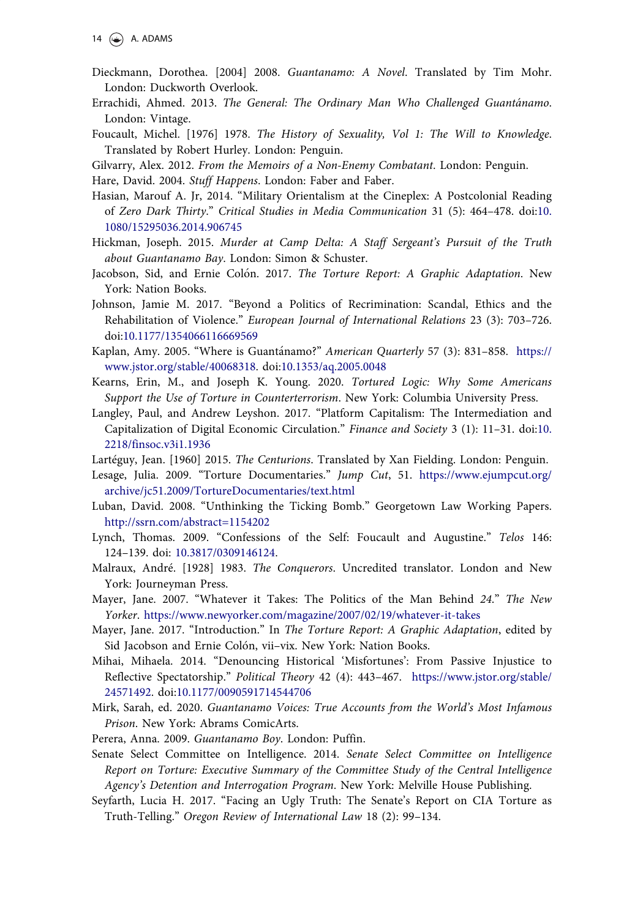- <span id="page-13-0"></span>Dieckmann, Dorothea. [2004] [2008](#page-4-0). Guantanamo: A Novel. Translated by Tim Mohr. London: Duckworth Overlook.
- Errachidi, Ahmed. [2013.](#page-4-0) The General: The Ordinary Man Who Challenged Guantánamo. London: Vintage.
- Foucault, Michel. [\[1976\] 1978](#page-9-0). The History of Sexuality, Vol 1: The Will to Knowledge. Translated by Robert Hurley. London: Penguin.

Gilvarry, Alex. [2012](#page-4-0). From the Memoirs of a Non-Enemy Combatant. London: Penguin.

Hare, David. [2004](#page-4-0). Stuff Happens. London: Faber and Faber.

- Hasian, Marouf A. Jr, [2014](#page-5-0). "Military Orientalism at the Cineplex: A Postcolonial Reading of Zero Dark Thirty." Critical Studies in Media Communication 31 (5): 464–478. doi[:10.](https://doi.org/10.1080/15295036.2014.906745) [1080/15295036.2014.906745](https://doi.org/10.1080/15295036.2014.906745)
- Hickman, Joseph. [2015.](#page-4-0) Murder at Camp Delta: A Staff Sergeant's Pursuit of the Truth about Guantanamo Bay. London: Simon & Schuster.
- Jacobson, Sid, and Ernie Colón. [2017](#page-11-0). The Torture Report: A Graphic Adaptation. New York: Nation Books.
- Johnson, Jamie M. [2017](#page-8-0). "Beyond a Politics of Recrimination: Scandal, Ethics and the Rehabilitation of Violence." European Journal of International Relations 23 (3): 703–726. doi:[10.1177/1354066116669569](https://doi.org/10.1177/1354066116669569)
- Kaplan, Amy. [2005.](#page-3-0) "Where is Guantánamo?" American Quarterly 57 (3): 831-858. [https://](https://www.jstor.org/stable/40068318) [www.jstor.org/stable/40068318](https://www.jstor.org/stable/40068318). doi[:10.1353/aq.2005.0048](https://doi.org/10.1353/aq.2005.0048)
- Kearns, Erin, M., and Joseph K. Young. [2020](#page-4-0). Tortured Logic: Why Some Americans Support the Use of Torture in Counterterrorism. New York: Columbia University Press.
- Langley, Paul, and Andrew Leyshon. [2017](#page-11-0). "Platform Capitalism: The Intermediation and Capitalization of Digital Economic Circulation." Finance and Society 3 (1): 11–31. doi[:10.](https://doi.org/10.2218/finsoc.v3i1.1936) [2218/finsoc.v3i1.1936](https://doi.org/10.2218/finsoc.v3i1.1936)
- Lartéguy, Jean. [\[1960](#page-3-0)] [2015.](#page-3-0) The Centurions. Translated by Xan Fielding. London: Penguin.
- Lesage, Julia. [2009](#page-7-0). "Torture Documentaries." Jump Cut, 51. [https://www.ejumpcut.org/](https://www.ejumpcut.org/archive/jc51.2009/TortureDocumentaries/text.html) [archive/jc51.2009/TortureDocumentaries/text.html](https://www.ejumpcut.org/archive/jc51.2009/TortureDocumentaries/text.html)
- Luban, David. [2008.](#page-3-0) "Unthinking the Ticking Bomb." Georgetown Law Working Papers. <http://ssrn.com/abstract=1154202>
- Lynch, Thomas. [2009.](#page-10-0) "Confessions of the Self: Foucault and Augustine." Telos 146: 124–139. doi: [10.3817/0309146124.](https://doi.org/10.3817/0309146124)
- Malraux, André. [\[1928](#page-3-0)] [1983.](#page-3-0) The Conquerors. Uncredited translator. London and New York: Journeyman Press.
- Mayer, Jane. [2007.](#page-6-0) "Whatever it Takes: The Politics of the Man Behind 24." The New Yorker. <https://www.newyorker.com/magazine/2007/02/19/whatever-it-takes>
- Mayer, Jane. 2017. "Introduction." In The Torture Report: A Graphic Adaptation, edited by Sid Jacobson and Ernie Colón, vii-vix. New York: Nation Books.
- Mihai, Mihaela. [2014.](#page-7-0) "Denouncing Historical 'Misfortunes': From Passive Injustice to Reflective Spectatorship." Political Theory 42 (4): 443–467. [https://www.jstor.org/stable/](https://www.jstor.org/stable/24571492) [24571492](https://www.jstor.org/stable/24571492). doi[:10.1177/0090591714544706](https://doi.org/10.1177/0090591714544706)
- Mirk, Sarah, ed. [2020.](#page-4-0) Guantanamo Voices: True Accounts from the World's Most Infamous Prison. New York: Abrams ComicArts.
- Perera, Anna. [2009.](#page-4-0) Guantanamo Boy. London: Puffin.
- Senate Select Committee on Intelligence. [2014.](#page-1-0) Senate Select Committee on Intelligence Report on Torture: Executive Summary of the Committee Study of the Central Intelligence Agency's Detention and Interrogation Program. New York: Melville House Publishing.
- Seyfarth, Lucia H. [2017.](#page-7-0) "Facing an Ugly Truth: The Senate's Report on CIA Torture as Truth-Telling." Oregon Review of International Law 18 (2): 99–134.